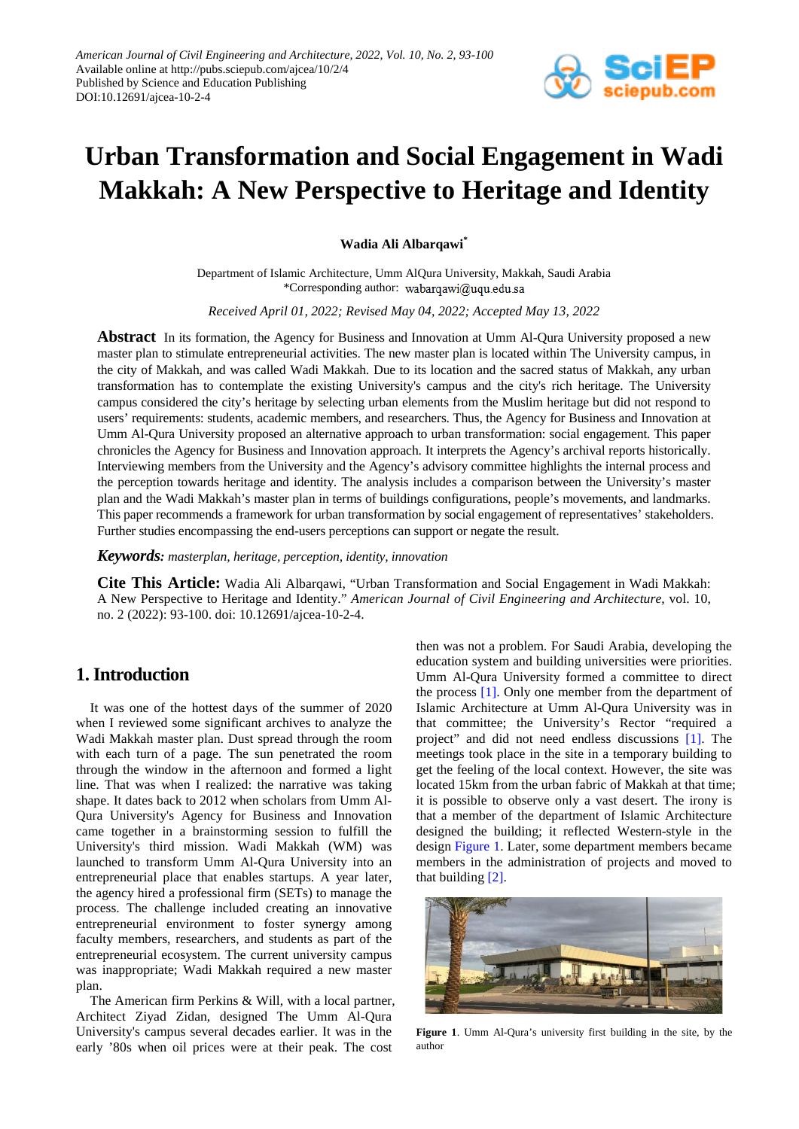

# **Urban Transformation and Social Engagement in Wadi Makkah: A New Perspective to Heritage and Identity**

**Wadia Ali Albarqawi\***

Department of Islamic Architecture, Umm AlQura University, Makkah, Saudi Arabia \*Corresponding author:

*Received April 01, 2022; Revised May 04, 2022; Accepted May 13, 2022*

**Abstract** In its formation, the Agency for Business and Innovation at Umm Al-Qura University proposed a new master plan to stimulate entrepreneurial activities. The new master plan is located within The University campus, in the city of Makkah, and was called Wadi Makkah. Due to its location and the sacred status of Makkah, any urban transformation has to contemplate the existing University's campus and the city's rich heritage. The University campus considered the city's heritage by selecting urban elements from the Muslim heritage but did not respond to users' requirements: students, academic members, and researchers. Thus, the Agency for Business and Innovation at Umm Al-Qura University proposed an alternative approach to urban transformation: social engagement. This paper chronicles the Agency for Business and Innovation approach. It interprets the Agency's archival reports historically. Interviewing members from the University and the Agency's advisory committee highlights the internal process and the perception towards heritage and identity. The analysis includes a comparison between the University's master plan and the Wadi Makkah's master plan in terms of buildings configurations, people's movements, and landmarks. This paper recommends a framework for urban transformation by social engagement of representatives' stakeholders. Further studies encompassing the end-users perceptions can support or negate the result.

*Keywords: masterplan, heritage, perception, identity, innovation*

**Cite This Article:** Wadia Ali Albarqawi, "Urban Transformation and Social Engagement in Wadi Makkah: A New Perspective to Heritage and Identity." *American Journal of Civil Engineering and Architecture*, vol. 10, no. 2 (2022): 93-100. doi: 10.12691/ajcea-10-2-4.

## **1. Introduction**

It was one of the hottest days of the summer of 2020 when I reviewed some significant archives to analyze the Wadi Makkah master plan. Dust spread through the room with each turn of a page. The sun penetrated the room through the window in the afternoon and formed a light line. That was when I realized: the narrative was taking shape. It dates back to 2012 when scholars from Umm Al-Qura University's Agency for Business and Innovation came together in a brainstorming session to fulfill the University's third mission. Wadi Makkah (WM) was launched to transform Umm Al-Qura University into an entrepreneurial place that enables startups. A year later, the agency hired a professional firm (SETs) to manage the process. The challenge included creating an innovative entrepreneurial environment to foster synergy among faculty members, researchers, and students as part of the entrepreneurial ecosystem. The current university campus was inappropriate; Wadi Makkah required a new master plan.

The American firm Perkins & Will, with a local partner, Architect Ziyad Zidan, designed The Umm Al-Qura University's campus several decades earlier. It was in the early '80s when oil prices were at their peak. The cost

then was not a problem. For Saudi Arabia, developing the education system and building universities were priorities. Umm Al-Qura University formed a committee to direct the process [\[1\].](#page-7-0) Only one member from the department of Islamic Architecture at Umm Al-Qura University was in that committee; the University's Rector "required a project" and did not need endless discussions [\[1\].](#page-7-0) The meetings took place in the site in a temporary building to get the feeling of the local context. However, the site was located 15km from the urban fabric of Makkah at that time; it is possible to observe only a vast desert. The irony is that a member of the department of Islamic Architecture designed the building; it reflected Western-style in the design [Figure 1.](#page-0-0) Later, some department members became members in the administration of projects and moved to that building [\[2\].](#page-7-1)

<span id="page-0-0"></span>

**Figure 1**. Umm Al-Qura's university first building in the site, by the author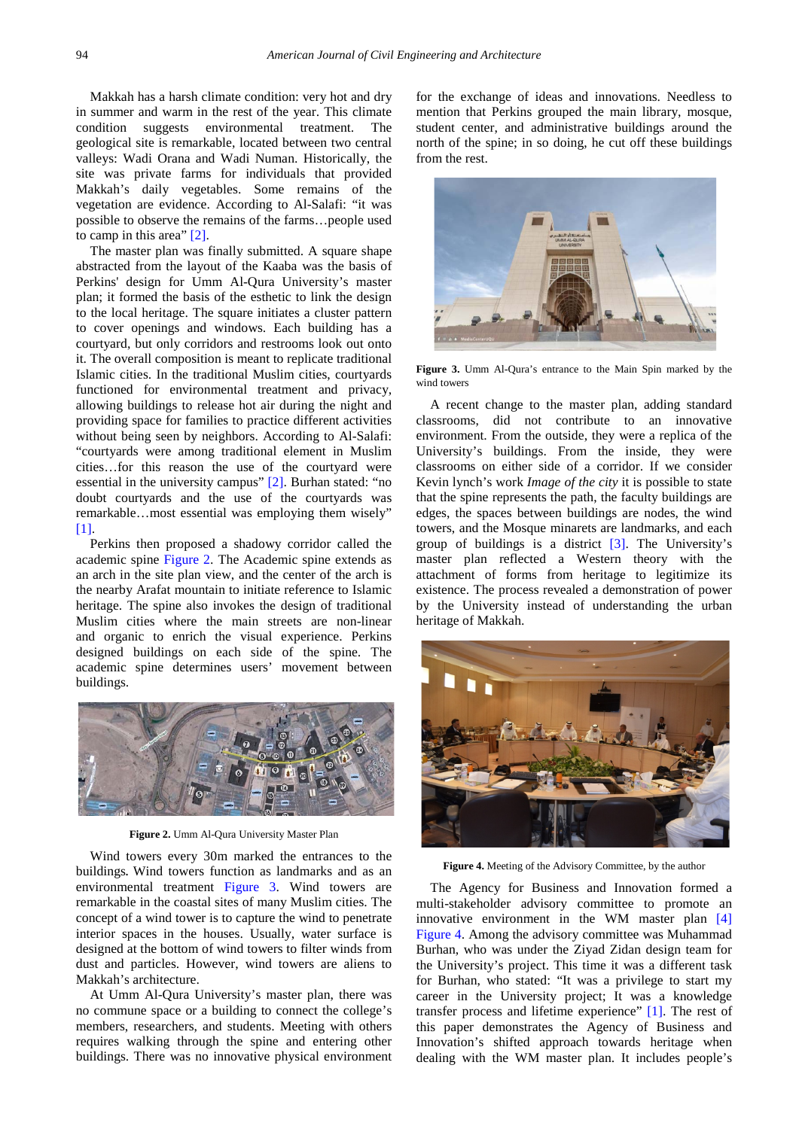Makkah has a harsh climate condition: very hot and dry in summer and warm in the rest of the year. This climate condition suggests environmental treatment. The geological site is remarkable, located between two central valleys: Wadi Orana and Wadi Numan. Historically, the site was private farms for individuals that provided Makkah's daily vegetables. Some remains of the vegetation are evidence. According to Al-Salafi: "it was possible to observe the remains of the farms…people used to camp in this area" [\[2\].](#page-7-1)

The master plan was finally submitted. A square shape abstracted from the layout of the Kaaba was the basis of Perkins' design for Umm Al-Qura University's master plan; it formed the basis of the esthetic to link the design to the local heritage. The square initiates a cluster pattern to cover openings and windows. Each building has a courtyard, but only corridors and restrooms look out onto it. The overall composition is meant to replicate traditional Islamic cities. In the traditional Muslim cities, courtyards functioned for environmental treatment and privacy, allowing buildings to release hot air during the night and providing space for families to practice different activities without being seen by neighbors. According to Al-Salafi: "courtyards were among traditional element in Muslim cities…for this reason the use of the courtyard were essential in the university campus" [\[2\].](#page-7-1) Burhan stated: "no doubt courtyards and the use of the courtyards was remarkable…most essential was employing them wisely" [11].

Perkins then proposed a shadowy corridor called the academic spine [Figure 2.](#page-1-0) The Academic spine extends as an arch in the site plan view, and the center of the arch is the nearby Arafat mountain to initiate reference to Islamic heritage. The spine also invokes the design of traditional Muslim cities where the main streets are non-linear and organic to enrich the visual experience. Perkins designed buildings on each side of the spine. The academic spine determines users' movement between buildings.

<span id="page-1-0"></span>

**Figure 2.** Umm Al-Qura University Master Plan

Wind towers every 30m marked the entrances to the buildings**.** Wind towers function as landmarks and as an environmental treatment [Figure 3.](#page-1-1) Wind towers are remarkable in the coastal sites of many Muslim cities. The concept of a wind tower is to capture the wind to penetrate interior spaces in the houses. Usually, water surface is designed at the bottom of wind towers to filter winds from dust and particles. However, wind towers are aliens to Makkah's architecture.

At Umm Al-Qura University's master plan, there was no commune space or a building to connect the college's members, researchers, and students. Meeting with others requires walking through the spine and entering other buildings. There was no innovative physical environment

for the exchange of ideas and innovations. Needless to mention that Perkins grouped the main library, mosque, student center, and administrative buildings around the north of the spine; in so doing, he cut off these buildings from the rest.

<span id="page-1-1"></span>

**Figure 3.** Umm Al-Qura's entrance to the Main Spin marked by the wind towers

A recent change to the master plan, adding standard classrooms, did not contribute to an innovative environment. From the outside, they were a replica of the University's buildings. From the inside, they were classrooms on either side of a corridor. If we consider Kevin lynch's work *Image of the city* it is possible to state that the spine represents the path, the faculty buildings are edges, the spaces between buildings are nodes, the wind towers, and the Mosque minarets are landmarks, and each group of buildings is a district [\[3\].](#page-7-2) The University's master plan reflected a Western theory with the attachment of forms from heritage to legitimize its existence. The process revealed a demonstration of power by the University instead of understanding the urban heritage of Makkah.

<span id="page-1-2"></span>

**Figure 4.** Meeting of the Advisory Committee, by the author

The Agency for Business and Innovation formed a multi-stakeholder advisory committee to promote an innovative environment in the WM master plan [\[4\]](#page-7-3) [Figure 4.](#page-1-2) Among the advisory committee was Muhammad Burhan, who was under the Ziyad Zidan design team for the University's project. This time it was a different task for Burhan, who stated: "It was a privilege to start my career in the University project; It was a knowledge transfer process and lifetime experience" [\[1\].](#page-7-0) The rest of this paper demonstrates the Agency of Business and Innovation's shifted approach towards heritage when dealing with the WM master plan. It includes people's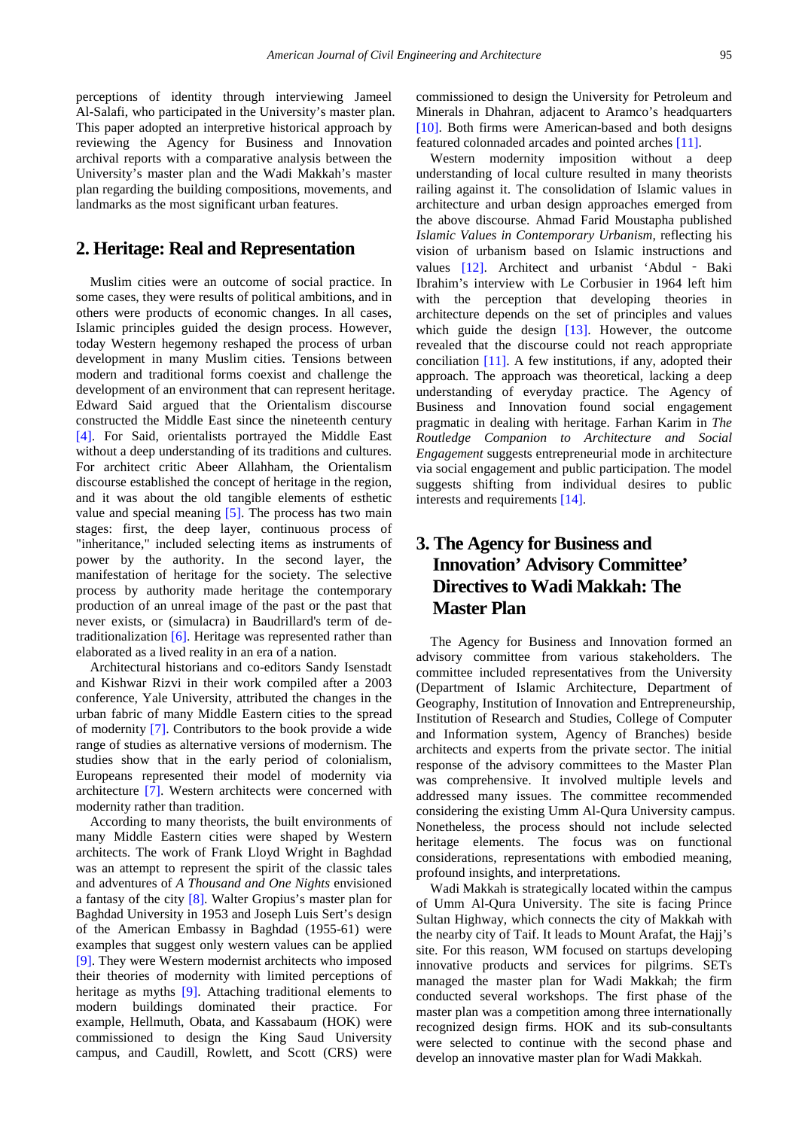perceptions of identity through interviewing Jameel Al-Salafi, who participated in the University's master plan. This paper adopted an interpretive historical approach by reviewing the Agency for Business and Innovation archival reports with a comparative analysis between the University's master plan and the Wadi Makkah's master plan regarding the building compositions, movements, and landmarks as the most significant urban features.

#### **2. Heritage: Real and Representation**

Muslim cities were an outcome of social practice. In some cases, they were results of political ambitions, and in others were products of economic changes. In all cases, Islamic principles guided the design process. However, today Western hegemony reshaped the process of urban development in many Muslim cities. Tensions between modern and traditional forms coexist and challenge the development of an environment that can represent heritage. Edward Said argued that the Orientalism discourse constructed the Middle East since the nineteenth century [\[4\].](#page-7-3) For Said, orientalists portrayed the Middle East without a deep understanding of its traditions and cultures. For architect critic Abeer Allahham, the Orientalism discourse established the concept of heritage in the region, and it was about the old tangible elements of esthetic value and special meaning [\[5\].](#page-7-4) The process has two main stages: first, the deep layer, continuous process of "inheritance," included selecting items as instruments of power by the authority. In the second layer, the manifestation of heritage for the society. The selective process by authority made heritage the contemporary production of an unreal image of the past or the past that never exists, or (simulacra) in Baudrillard's term of detraditionalization [\[6\].](#page-7-5) Heritage was represented rather than elaborated as a lived reality in an era of a nation.

Architectural historians and co-editors Sandy Isenstadt and Kishwar Rizvi in their work compiled after a 2003 conference, Yale University, attributed the changes in the urban fabric of many Middle Eastern cities to the spread of modernity [\[7\].](#page-7-6) Contributors to the book provide a wide range of studies as alternative versions of modernism. The studies show that in the early period of colonialism, Europeans represented their model of modernity via architecture [\[7\].](#page-7-6) Western architects were concerned with modernity rather than tradition.

According to many theorists, the built environments of many Middle Eastern cities were shaped by Western architects. The work of Frank Lloyd Wright in Baghdad was an attempt to represent the spirit of the classic tales and adventures of *A Thousand and One Nights* envisioned a fantasy of the city [\[8\].](#page-7-7) Walter Gropius's master plan for Baghdad University in 1953 and Joseph Luis Sert's design of the American Embassy in Baghdad (1955-61) were examples that suggest only western values can be applied [\[9\].](#page-7-8) They were Western modernist architects who imposed their theories of modernity with limited perceptions of heritage as myths [\[9\].](#page-7-8) Attaching traditional elements to modern buildings dominated their practice. For example, Hellmuth, Obata, and Kassabaum (HOK) were commissioned to design the King Saud University campus, and Caudill, Rowlett, and Scott (CRS) were

commissioned to design the University for Petroleum and Minerals in Dhahran, adjacent to Aramco's headquarters [\[10\].](#page-7-9) Both firms were American-based and both designs featured colonnaded arcades and pointed arches [\[11\].](#page-7-10)

Western modernity imposition without a deep understanding of local culture resulted in many theorists railing against it. The consolidation of Islamic values in architecture and urban design approaches emerged from the above discourse. Ahmad Farid Moustapha published *Islamic Values in Contemporary Urbanism*, reflecting his vision of urbanism based on Islamic instructions and values [\[12\].](#page-7-11) Architect and urbanist 'Abdul - Baki Ibrahim's interview with Le Corbusier in 1964 left him with the perception that developing theories in architecture depends on the set of principles and values which guide the design [\[13\].](#page-7-12) However, the outcome revealed that the discourse could not reach appropriate conciliation [\[11\].](#page-7-10) A few institutions, if any, adopted their approach. The approach was theoretical, lacking a deep understanding of everyday practice. The Agency of Business and Innovation found social engagement pragmatic in dealing with heritage. Farhan Karim in *The Routledge Companion to Architecture and Social Engagement* suggests entrepreneurial mode in architecture via social engagement and public participation. The model suggests shifting from individual desires to public interests and requirement[s \[14\].](#page-7-13)

# **3. The Agency for Business and Innovation' Advisory Committee' Directives to Wadi Makkah: The Master Plan**

The Agency for Business and Innovation formed an advisory committee from various stakeholders. The committee included representatives from the University (Department of Islamic Architecture, Department of Geography, Institution of Innovation and Entrepreneurship, Institution of Research and Studies, College of Computer and Information system, Agency of Branches) beside architects and experts from the private sector. The initial response of the advisory committees to the Master Plan was comprehensive. It involved multiple levels and addressed many issues. The committee recommended considering the existing Umm Al-Qura University campus. Nonetheless, the process should not include selected heritage elements. The focus was on functional considerations, representations with embodied meaning, profound insights, and interpretations.

Wadi Makkah is strategically located within the campus of Umm Al-Qura University. The site is facing Prince Sultan Highway, which connects the city of Makkah with the nearby city of Taif. It leads to Mount Arafat, the Hajj's site. For this reason, WM focused on startups developing innovative products and services for pilgrims. SETs managed the master plan for Wadi Makkah; the firm conducted several workshops. The first phase of the master plan was a competition among three internationally recognized design firms. HOK and its sub-consultants were selected to continue with the second phase and develop an innovative master plan for Wadi Makkah.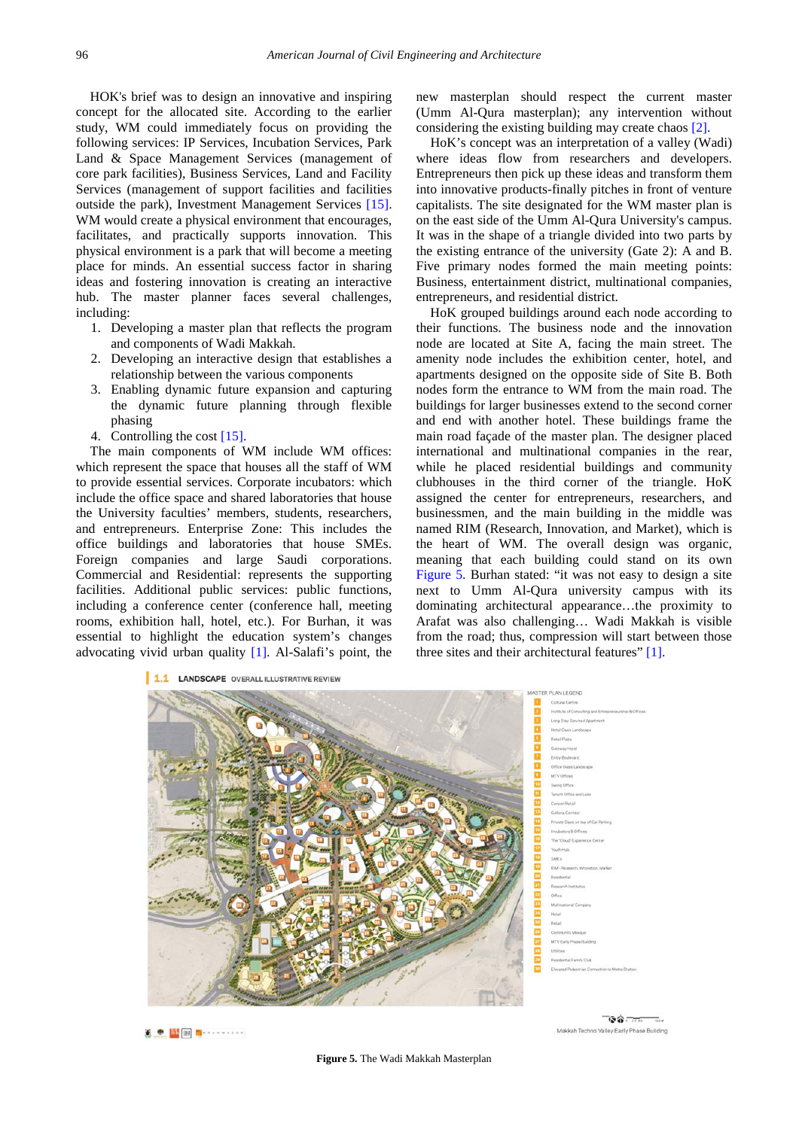HOK's brief was to design an innovative and inspiring concept for the allocated site. According to the earlier study, WM could immediately focus on providing the following services: IP Services, Incubation Services, Park Land & Space Management Services (management of core park facilities), Business Services, Land and Facility Services (management of support facilities and facilities outside the park), Investment Management Services [\[15\].](#page-7-14) WM would create a physical environment that encourages, facilitates, and practically supports innovation. This physical environment is a park that will become a meeting place for minds. An essential success factor in sharing ideas and fostering innovation is creating an interactive hub. The master planner faces several challenges, including:

- 1. Developing a master plan that reflects the program and components of Wadi Makkah.
- 2. Developing an interactive design that establishes a relationship between the various components
- 3. Enabling dynamic future expansion and capturing the dynamic future planning through flexible phasing
- 4. Controlling the cost [\[15\].](#page-7-14)

The main components of WM include WM offices: which represent the space that houses all the staff of WM to provide essential services. Corporate incubators: which include the office space and shared laboratories that house the University faculties' members, students, researchers, and entrepreneurs. Enterprise Zone: This includes the office buildings and laboratories that house SMEs. Foreign companies and large Saudi corporations. Commercial and Residential: represents the supporting facilities. Additional public services: public functions, including a conference center (conference hall, meeting rooms, exhibition hall, hotel, etc.). For Burhan, it was essential to highlight the education system's changes advocating vivid urban quality [\[1\].](#page-7-0) Al-Salafi's point, the

<span id="page-3-0"></span>1.1 LANDSCAPE OVERALL ILLUSTRATIVE REVIEW

new masterplan should respect the current master (Umm Al-Qura masterplan); any intervention without considering the existing building may create chaos [\[2\].](#page-7-1)

HoK's concept was an interpretation of a valley (Wadi) where ideas flow from researchers and developers. Entrepreneurs then pick up these ideas and transform them into innovative products-finally pitches in front of venture capitalists. The site designated for the WM master plan is on the east side of the Umm Al-Qura University's campus. It was in the shape of a triangle divided into two parts by the existing entrance of the university (Gate 2): A and B. Five primary nodes formed the main meeting points: Business, entertainment district, multinational companies, entrepreneurs, and residential district.

HoK grouped buildings around each node according to their functions. The business node and the innovation node are located at Site A, facing the main street. The amenity node includes the exhibition center, hotel, and apartments designed on the opposite side of Site B. Both nodes form the entrance to WM from the main road. The buildings for larger businesses extend to the second corner and end with another hotel. These buildings frame the main road façade of the master plan. The designer placed international and multinational companies in the rear, while he placed residential buildings and community clubhouses in the third corner of the triangle. HoK assigned the center for entrepreneurs, researchers, and businessmen, and the main building in the middle was named RIM (Research, Innovation, and Market), which is the heart of WM. The overall design was organic, meaning that each building could stand on its own [Figure 5.](#page-3-0) Burhan stated: "it was not easy to design a site next to Umm Al-Qura university campus with its dominating architectural appearance…the proximity to Arafat was also challenging… Wadi Makkah is visible from the road; thus, compression will start between those three sites and their architectural features" [\[1\].](#page-7-0)



 $\begin{picture}(20,20) \put(0,0){\vector(0,1){10}} \put(15,0){\vector(0,1){10}} \put(15,0){\vector(0,1){10}} \put(15,0){\vector(0,1){10}} \put(15,0){\vector(0,1){10}} \put(15,0){\vector(0,1){10}} \put(15,0){\vector(0,1){10}} \put(15,0){\vector(0,1){10}} \put(15,0){\vector(0,1){10}} \put(15,0){\vector(0,1){10}} \put(15,0){\vector(0,1){10}} \put(15,0){\vector(0$ 

**Figure 5***.* The Wadi Makkah Masterplan

 $\mathbf{G} \mathbf{\hat{w}}$ Makkah Techno Valley Early Phase Building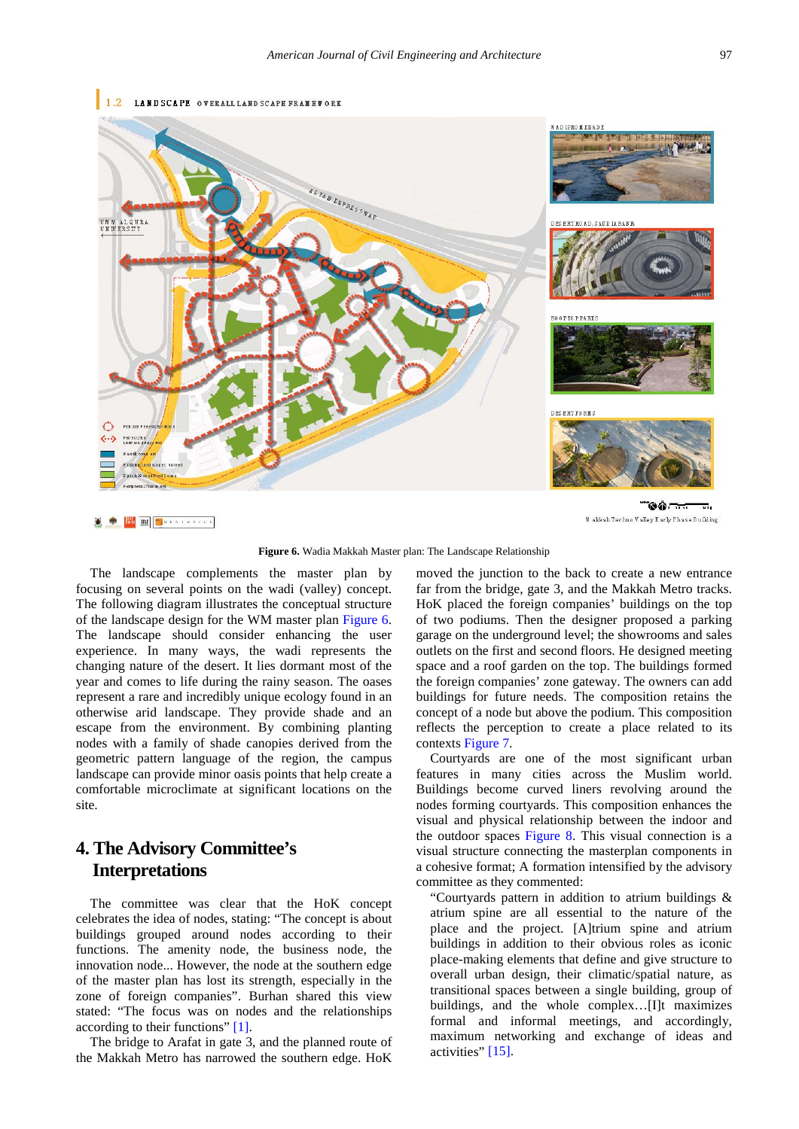<span id="page-4-0"></span>

**Figure 6.** Wadia Makkah Master plan: The Landscape Relationship

The landscape complements the master plan by focusing on several points on the wadi (valley) concept. The following diagram illustrates the conceptual structure of the landscape design for the WM master plan [Figure 6.](#page-4-0) The landscape should consider enhancing the user experience. In many ways, the wadi represents the changing nature of the desert. It lies dormant most of the year and comes to life during the rainy season. The oases represent a rare and incredibly unique ecology found in an otherwise arid landscape. They provide shade and an escape from the environment. By combining planting nodes with a family of shade canopies derived from the geometric pattern language of the region, the campus landscape can provide minor oasis points that help create a comfortable microclimate at significant locations on the site.

## **4. The Advisory Committee's Interpretations**

The committee was clear that the HoK concept celebrates the idea of nodes, stating: "The concept is about buildings grouped around nodes according to their functions. The amenity node, the business node, the innovation node... However, the node at the southern edge of the master plan has lost its strength, especially in the zone of foreign companies". Burhan shared this view stated: "The focus was on nodes and the relationships according to their functions" [\[1\].](#page-7-0)

The bridge to Arafat in gate 3, and the planned route of the Makkah Metro has narrowed the southern edge. HoK moved the junction to the back to create a new entrance far from the bridge, gate 3, and the Makkah Metro tracks. HoK placed the foreign companies' buildings on the top of two podiums. Then the designer proposed a parking garage on the underground level; the showrooms and sales outlets on the first and second floors. He designed meeting space and a roof garden on the top. The buildings formed the foreign companies' zone gateway. The owners can add buildings for future needs. The composition retains the concept of a node but above the podium. This composition reflects the perception to create a place related to its contexts [Figure 7.](#page-5-0)

Courtyards are one of the most significant urban features in many cities across the Muslim world. Buildings become curved liners revolving around the nodes forming courtyards. This composition enhances the visual and physical relationship between the indoor and the outdoor spaces [Figure 8.](#page-5-1) This visual connection is a visual structure connecting the masterplan components in a cohesive format; A formation intensified by the advisory committee as they commented:

"Courtyards pattern in addition to atrium buildings & atrium spine are all essential to the nature of the place and the project. [A]trium spine and atrium buildings in addition to their obvious roles as iconic place-making elements that define and give structure to overall urban design, their climatic/spatial nature, as transitional spaces between a single building, group of buildings, and the whole complex…[I]t maximizes formal and informal meetings, and accordingly, maximum networking and exchange of ideas and activities" [\[15\].](#page-7-14)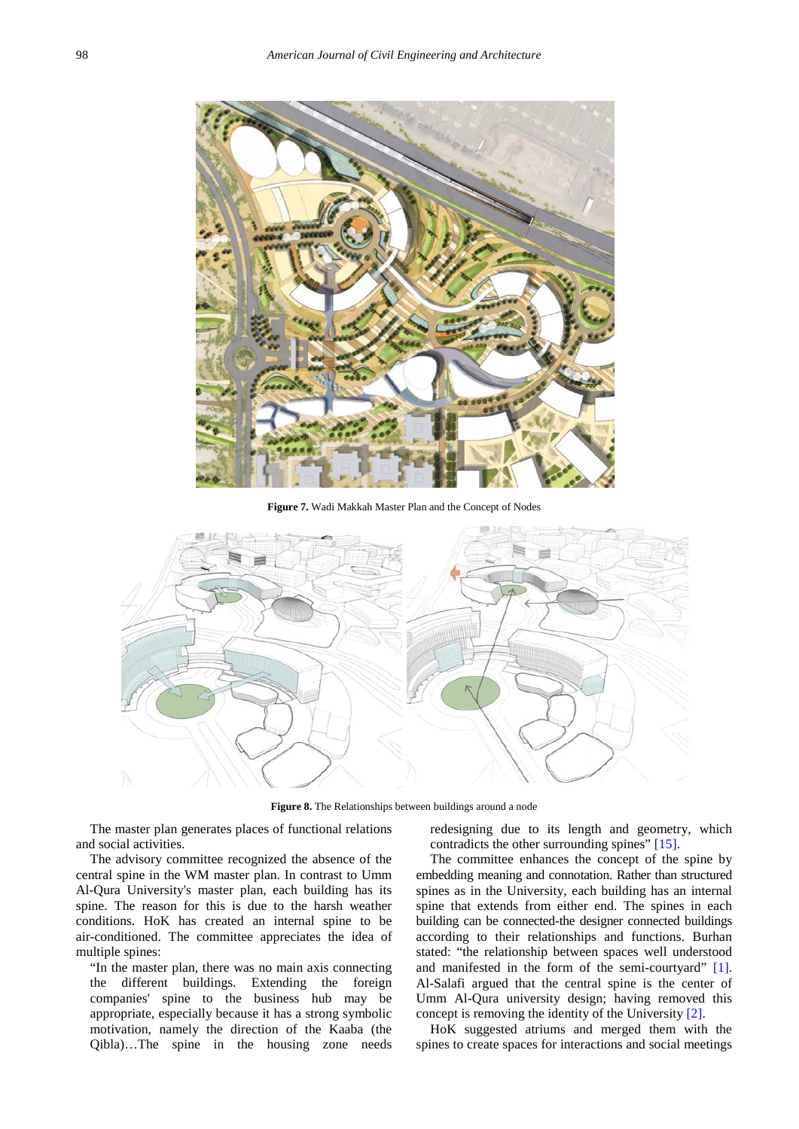<span id="page-5-0"></span>

**Figure 7.** Wadi Makkah Master Plan and the Concept of Nodes

<span id="page-5-1"></span>

Figure 8. The Relationships between buildings around a node

The master plan generates places of functional relations and social activities.

The advisory committee recognized the absence of the central spine in the WM master plan. In contrast to Umm Al-Qura University's master plan, each building has its spine. The reason for this is due to the harsh weather conditions. HoK has created an internal spine to be air-conditioned. The committee appreciates the idea of multiple spines:

"In the master plan, there was no main axis connecting the different buildings. Extending the foreign companies' spine to the business hub may be appropriate, especially because it has a strong symbolic motivation, namely the direction of the Kaaba (the Qibla)…The spine in the housing zone needs

redesigning due to its length and geometry, which contradicts the other surrounding spines" [\[15\].](#page-7-14)

The committee enhances the concept of the spine by embedding meaning and connotation. Rather than structured spines as in the University, each building has an internal spine that extends from either end. The spines in each building can be connected-the designer connected buildings according to their relationships and functions. Burhan stated: "the relationship between spaces well understood and manifested in the form of the semi-courtyard" [\[1\].](#page-7-0) Al-Salafi argued that the central spine is the center of Umm Al-Qura university design; having removed this concept is removing the identity of the University [\[2\].](#page-7-1)

HoK suggested atriums and merged them with the spines to create spaces for interactions and social meetings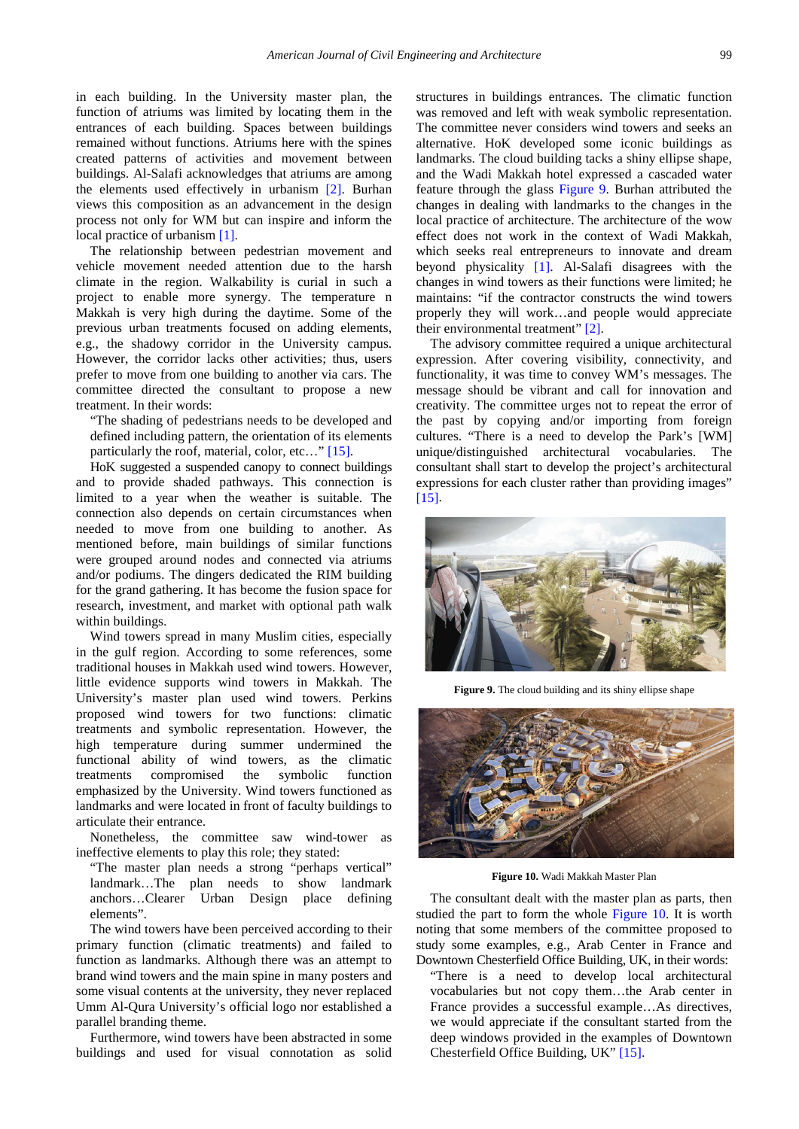in each building. In the University master plan, the function of atriums was limited by locating them in the entrances of each building. Spaces between buildings remained without functions. Atriums here with the spines created patterns of activities and movement between buildings. Al-Salafi acknowledges that atriums are among the elements used effectively in urbanism [\[2\].](#page-7-1) Burhan views this composition as an advancement in the design process not only for WM but can inspire and inform the local practice of urbanism [\[1\].](#page-7-0)

The relationship between pedestrian movement and vehicle movement needed attention due to the harsh climate in the region. Walkability is curial in such a project to enable more synergy. The temperature n Makkah is very high during the daytime. Some of the previous urban treatments focused on adding elements, e.g., the shadowy corridor in the University campus. However, the corridor lacks other activities; thus, users prefer to move from one building to another via cars. The committee directed the consultant to propose a new treatment. In their words:

"The shading of pedestrians needs to be developed and defined including pattern, the orientation of its elements particularly the roof, material, color, etc..." [\[15\].](#page-7-14)

HoK suggested a suspended canopy to connect buildings and to provide shaded pathways. This connection is limited to a year when the weather is suitable. The connection also depends on certain circumstances when needed to move from one building to another. As mentioned before, main buildings of similar functions were grouped around nodes and connected via atriums and/or podiums. The dingers dedicated the RIM building for the grand gathering. It has become the fusion space for research, investment, and market with optional path walk within buildings.

Wind towers spread in many Muslim cities, especially in the gulf region. According to some references, some traditional houses in Makkah used wind towers. However, little evidence supports wind towers in Makkah. The University's master plan used wind towers. Perkins proposed wind towers for two functions: climatic treatments and symbolic representation. However, the high temperature during summer undermined the functional ability of wind towers, as the climatic treatments compromised the symbolic function emphasized by the University. Wind towers functioned as landmarks and were located in front of faculty buildings to articulate their entrance.

Nonetheless, the committee saw wind-tower as ineffective elements to play this role; they stated:

"The master plan needs a strong "perhaps vertical" landmark…The plan needs to show landmark anchors…Clearer Urban Design place defining elements".

The wind towers have been perceived according to their primary function (climatic treatments) and failed to function as landmarks. Although there was an attempt to brand wind towers and the main spine in many posters and some visual contents at the university, they never replaced Umm Al-Qura University's official logo nor established a parallel branding theme.

Furthermore, wind towers have been abstracted in some buildings and used for visual connotation as solid structures in buildings entrances. The climatic function was removed and left with weak symbolic representation. The committee never considers wind towers and seeks an alternative. HoK developed some iconic buildings as landmarks. The cloud building tacks a shiny ellipse shape, and the Wadi Makkah hotel expressed a cascaded water feature through the glass [Figure 9.](#page-6-0) Burhan attributed the changes in dealing with landmarks to the changes in the local practice of architecture. The architecture of the wow effect does not work in the context of Wadi Makkah, which seeks real entrepreneurs to innovate and dream beyond physicality [\[1\].](#page-7-0) Al-Salafi disagrees with the changes in wind towers as their functions were limited; he maintains: "if the contractor constructs the wind towers properly they will work…and people would appreciate their environmental treatment" [\[2\].](#page-7-1)

The advisory committee required a unique architectural expression. After covering visibility, connectivity, and functionality, it was time to convey WM's messages. The message should be vibrant and call for innovation and creativity. The committee urges not to repeat the error of the past by copying and/or importing from foreign cultures. "There is a need to develop the Park's [WM] unique/distinguished architectural vocabularies. The consultant shall start to develop the project's architectural expressions for each cluster rather than providing images" [\[15\].](#page-7-14)

<span id="page-6-0"></span>

**Figure 9.** The cloud building and its shiny ellipse shape

<span id="page-6-1"></span>

**Figure 10.** Wadi Makkah Master Plan

The consultant dealt with the master plan as parts, then studied the part to form the whole [Figure 10.](#page-6-1) It is worth noting that some members of the committee proposed to study some examples, e.g., Arab Center in France and Downtown Chesterfield Office Building, UK, in their words:

"There is a need to develop local architectural vocabularies but not copy them…the Arab center in France provides a successful example…As directives, we would appreciate if the consultant started from the deep windows provided in the examples of Downtown Chesterfield Office Building, UK" [\[15\].](#page-7-14)